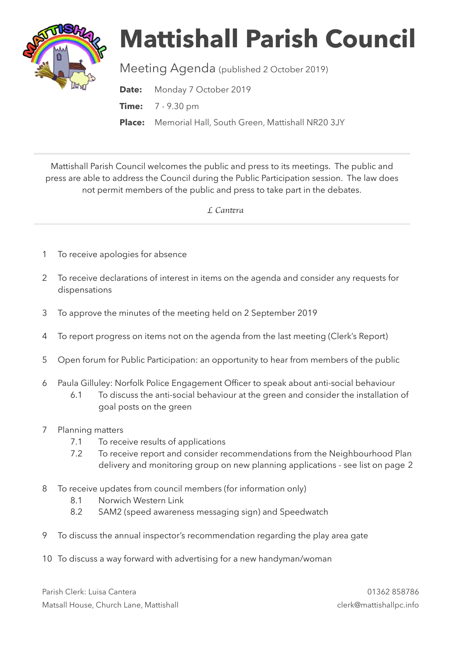

## **Mattishall Parish Council**

Meeting Agenda (published 2 October 2019)

Date: Monday 7 October 2019

**Time:** 7 - 9.30 pm

**Place:** Memorial Hall, South Green, Mattishall NR20 3JY

Mattishall Parish Council welcomes the public and press to its meetings. The public and press are able to address the Council during the Public Participation session. The law does not permit members of the public and press to take part in the debates.

 *L Can*t*ra* 

- 1 To receive apologies for absence
- 2 To receive declarations of interest in items on the agenda and consider any requests for dispensations
- 3 To approve the minutes of the meeting held on 2 September 2019
- 4 To report progress on items not on the agenda from the last meeting (Clerk's Report)
- 5 Open forum for Public Participation: an opportunity to hear from members of the public
- 6 Paula Gilluley: Norfolk Police Engagement Officer to speak about anti-social behaviour
	- 6.1 To discuss the anti-social behaviour at the green and consider the installation of goal posts on the green
- 7 Planning matters
	- 7.1 To receive results of applications
	- 7.2 To receive report and consider recommendations from the Neighbourhood Plan delivery and monitoring group on new planning applications - see list on page 2
- 8 To receive updates from council members (for information only)
	- 8.1 Norwich Western Link
	- 8.2 SAM2 (speed awareness messaging sign) and Speedwatch
- 9 To discuss the annual inspector's recommendation regarding the play area gate
- 10 To discuss a way forward with advertising for a new handyman/woman

Parish Clerk: Luisa Cantera 01362 858786 Matsall House, Church Lane, Mattishall clerk@mattishallpc.info